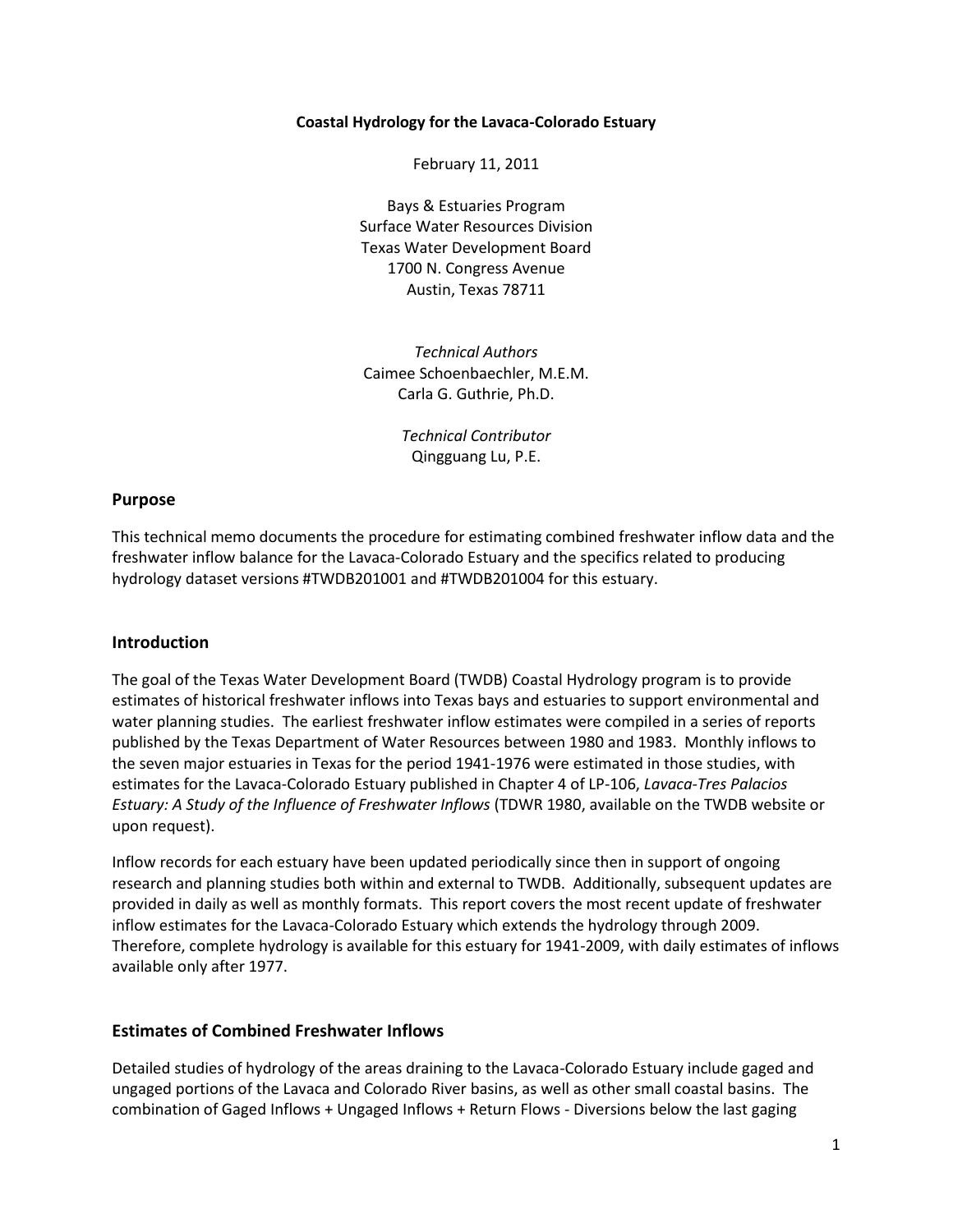#### **Coastal Hydrology for the Lavaca-Colorado Estuary**

February 11, 2011

Bays & Estuaries Program Surface Water Resources Division Texas Water Development Board 1700 N. Congress Avenue Austin, Texas 78711

*Technical Authors* Caimee Schoenbaechler, M.E.M. Carla G. Guthrie, Ph.D.

> *Technical Contributor* Qingguang Lu, P.E.

## **Purpose**

This technical memo documents the procedure for estimating combined freshwater inflow data and the freshwater inflow balance for the Lavaca-Colorado Estuary and the specifics related to producing hydrology dataset versions #TWDB201001 and #TWDB201004 for this estuary.

#### **Introduction**

The goal of the Texas Water Development Board (TWDB) Coastal Hydrology program is to provide estimates of historical freshwater inflows into Texas bays and estuaries to support environmental and water planning studies. The earliest freshwater inflow estimates were compiled in a series of reports published by the Texas Department of Water Resources between 1980 and 1983. Monthly inflows to the seven major estuaries in Texas for the period 1941-1976 were estimated in those studies, with estimates for the Lavaca-Colorado Estuary published in Chapter 4 of LP-106, *Lavaca-Tres Palacios Estuary: A Study of the Influence of Freshwater Inflows* (TDWR 1980, available on the TWDB website or upon request).

Inflow records for each estuary have been updated periodically since then in support of ongoing research and planning studies both within and external to TWDB. Additionally, subsequent updates are provided in daily as well as monthly formats. This report covers the most recent update of freshwater inflow estimates for the Lavaca-Colorado Estuary which extends the hydrology through 2009. Therefore, complete hydrology is available for this estuary for 1941-2009, with daily estimates of inflows available only after 1977.

#### **Estimates of Combined Freshwater Inflows**

Detailed studies of hydrology of the areas draining to the Lavaca-Colorado Estuary include gaged and ungaged portions of the Lavaca and Colorado River basins, as well as other small coastal basins. The combination of Gaged Inflows + Ungaged Inflows + Return Flows - Diversions below the last gaging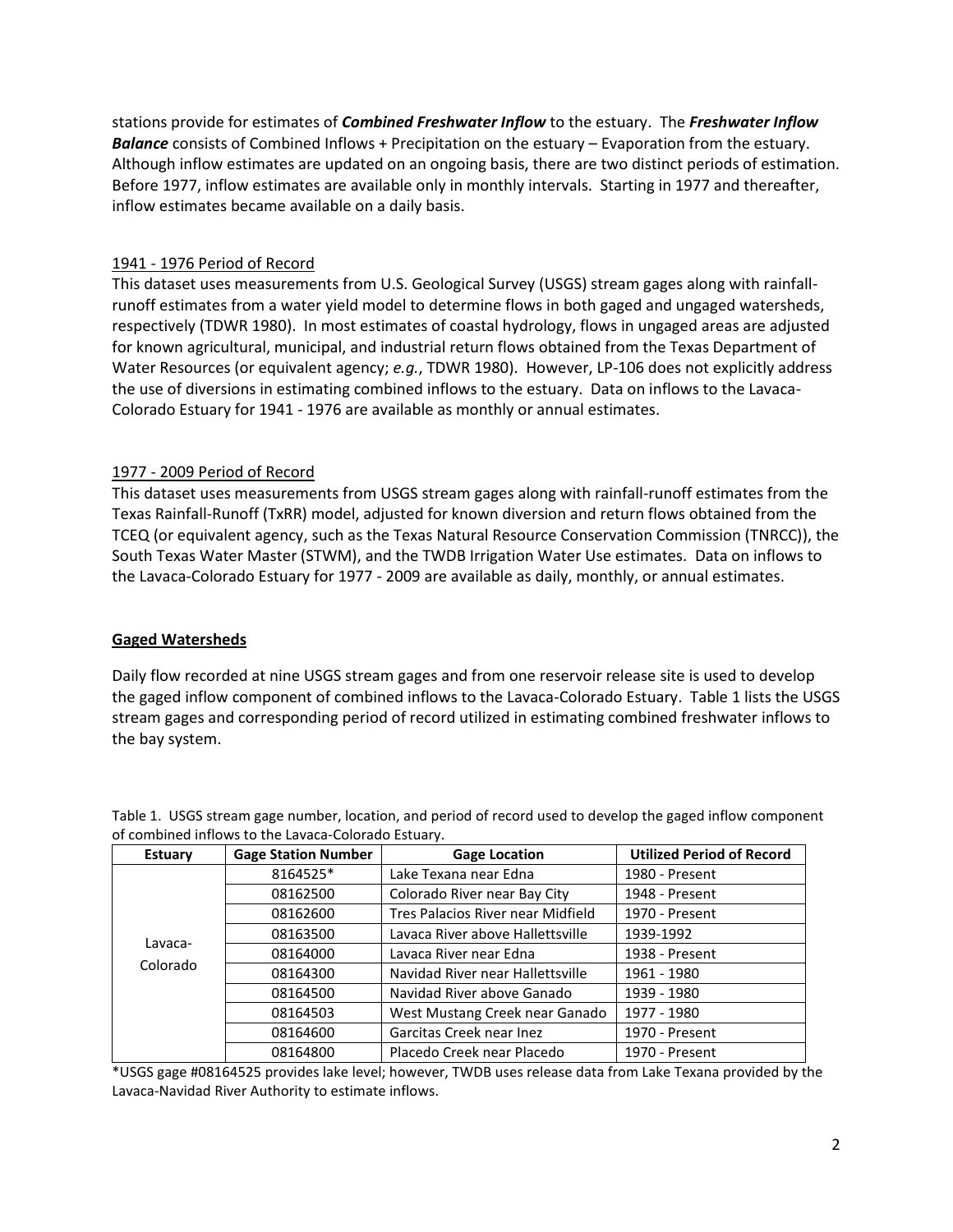stations provide for estimates of *Combined Freshwater Inflow* to the estuary. The *Freshwater Inflow Balance* consists of Combined Inflows + Precipitation on the estuary – Evaporation from the estuary. Although inflow estimates are updated on an ongoing basis, there are two distinct periods of estimation. Before 1977, inflow estimates are available only in monthly intervals. Starting in 1977 and thereafter, inflow estimates became available on a daily basis.

# 1941 - 1976 Period of Record

This dataset uses measurements from U.S. Geological Survey (USGS) stream gages along with rainfallrunoff estimates from a water yield model to determine flows in both gaged and ungaged watersheds, respectively (TDWR 1980). In most estimates of coastal hydrology, flows in ungaged areas are adjusted for known agricultural, municipal, and industrial return flows obtained from the Texas Department of Water Resources (or equivalent agency; *e.g.*, TDWR 1980). However, LP-106 does not explicitly address the use of diversions in estimating combined inflows to the estuary. Data on inflows to the Lavaca-Colorado Estuary for 1941 - 1976 are available as monthly or annual estimates.

# 1977 - 2009 Period of Record

This dataset uses measurements from USGS stream gages along with rainfall-runoff estimates from the Texas Rainfall-Runoff (TxRR) model, adjusted for known diversion and return flows obtained from the TCEQ (or equivalent agency, such as the Texas Natural Resource Conservation Commission (TNRCC)), the South Texas Water Master (STWM), and the TWDB Irrigation Water Use estimates. Data on inflows to the Lavaca-Colorado Estuary for 1977 - 2009 are available as daily, monthly, or annual estimates.

## **Gaged Watersheds**

Daily flow recorded at nine USGS stream gages and from one reservoir release site is used to develop the gaged inflow component of combined inflows to the Lavaca-Colorado Estuary. Table 1 lists the USGS stream gages and corresponding period of record utilized in estimating combined freshwater inflows to the bay system.

| <b>Estuary</b> | <b>Gage Station Number</b> | <b>Gage Location</b>              | <b>Utilized Period of Record</b> |
|----------------|----------------------------|-----------------------------------|----------------------------------|
|                | 8164525*                   | Lake Texana near Edna             | 1980 - Present                   |
|                | 08162500                   | Colorado River near Bay City      | 1948 - Present                   |
|                | 08162600                   | Tres Palacios River near Midfield | 1970 - Present                   |
|                | 08163500                   | Lavaca River above Hallettsville  | 1939-1992                        |
| Lavaca-        | 08164000                   | Lavaca River near Edna            | 1938 - Present                   |
| Colorado       | 08164300                   | Navidad River near Hallettsville  | 1961 - 1980                      |
|                | 08164500                   | Navidad River above Ganado        | 1939 - 1980                      |
|                | 08164503                   | West Mustang Creek near Ganado    | 1977 - 1980                      |
|                | 08164600                   | Garcitas Creek near Inez          | 1970 - Present                   |
|                | 08164800                   | Placedo Creek near Placedo        | 1970 - Present                   |

Table 1. USGS stream gage number, location, and period of record used to develop the gaged inflow component of combined inflows to the Lavaca-Colorado Estuary.

\*USGS gage #08164525 provides lake level; however, TWDB uses release data from Lake Texana provided by the Lavaca-Navidad River Authority to estimate inflows.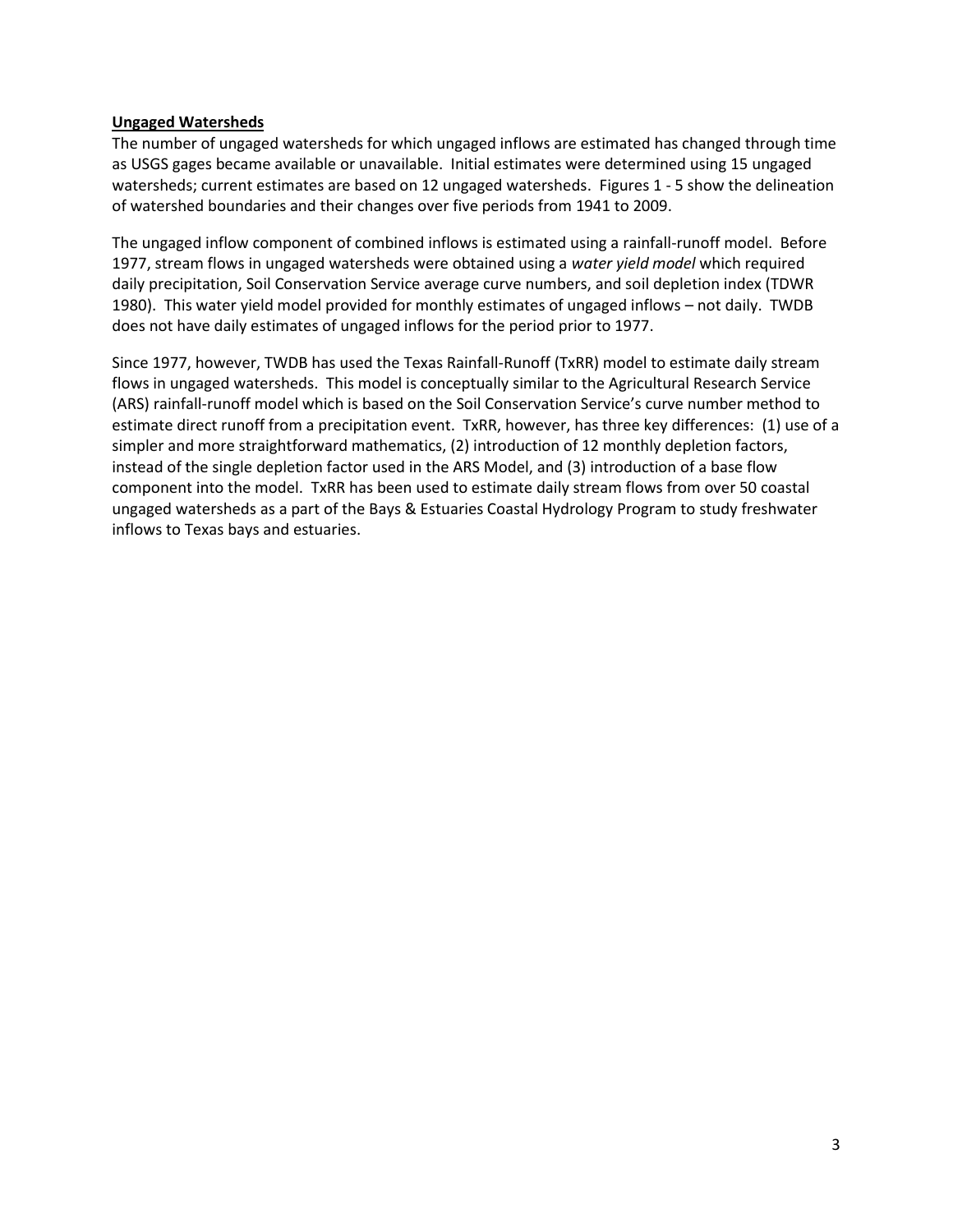## **Ungaged Watersheds**

The number of ungaged watersheds for which ungaged inflows are estimated has changed through time as USGS gages became available or unavailable. Initial estimates were determined using 15 ungaged watersheds; current estimates are based on 12 ungaged watersheds. Figures 1 - 5 show the delineation of watershed boundaries and their changes over five periods from 1941 to 2009.

The ungaged inflow component of combined inflows is estimated using a rainfall-runoff model. Before 1977, stream flows in ungaged watersheds were obtained using a *water yield model* which required daily precipitation, Soil Conservation Service average curve numbers, and soil depletion index (TDWR 1980). This water yield model provided for monthly estimates of ungaged inflows – not daily. TWDB does not have daily estimates of ungaged inflows for the period prior to 1977.

Since 1977, however, TWDB has used the Texas Rainfall-Runoff (TxRR) model to estimate daily stream flows in ungaged watersheds. This model is conceptually similar to the Agricultural Research Service (ARS) rainfall-runoff model which is based on the Soil Conservation Service's curve number method to estimate direct runoff from a precipitation event. TxRR, however, has three key differences: (1) use of a simpler and more straightforward mathematics, (2) introduction of 12 monthly depletion factors, instead of the single depletion factor used in the ARS Model, and (3) introduction of a base flow component into the model. TxRR has been used to estimate daily stream flows from over 50 coastal ungaged watersheds as a part of the Bays & Estuaries Coastal Hydrology Program to study freshwater inflows to Texas bays and estuaries.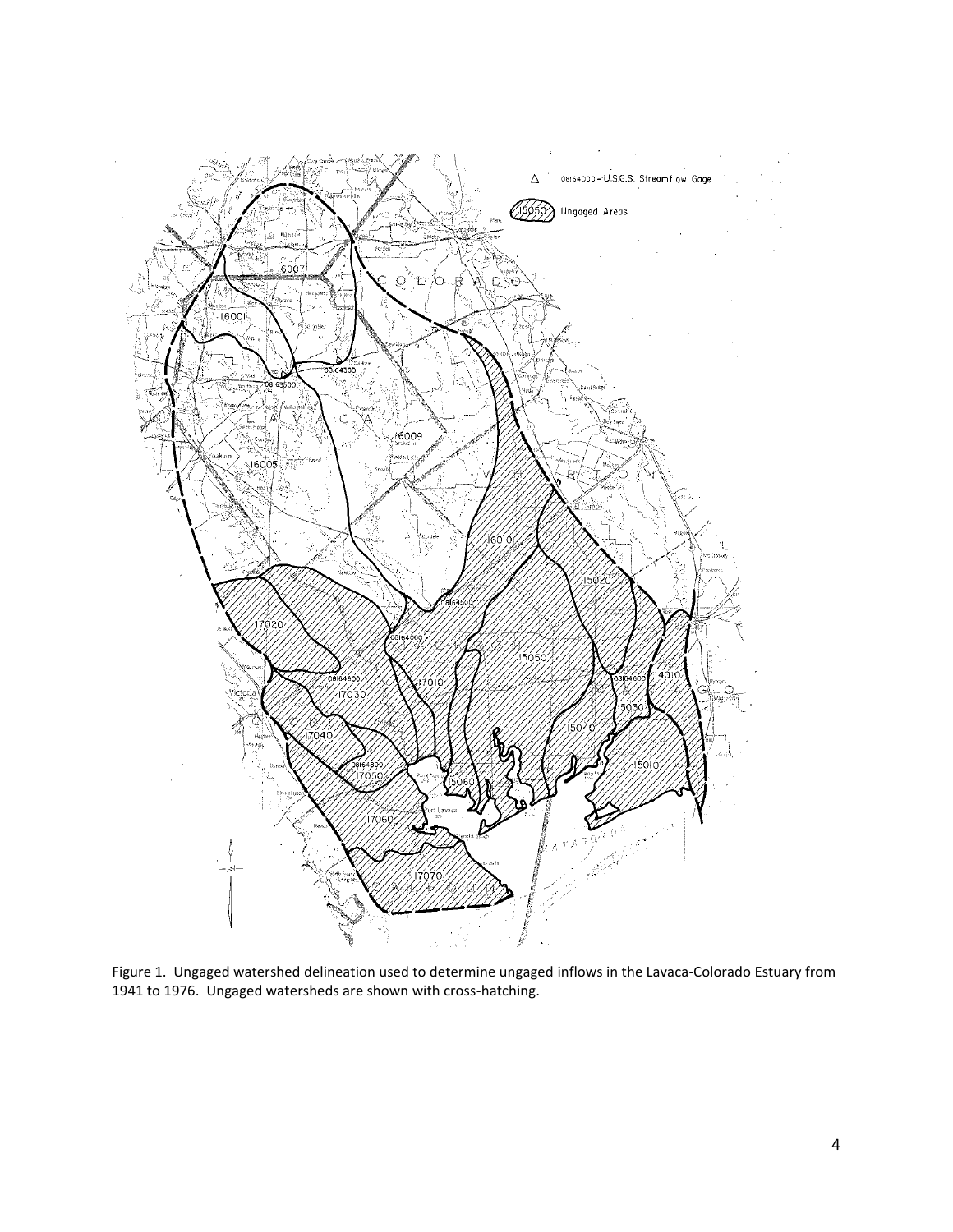

Figure 1. Ungaged watershed delineation used to determine ungaged inflows in the Lavaca-Colorado Estuary from 1941 to 1976. Ungaged watersheds are shown with cross-hatching.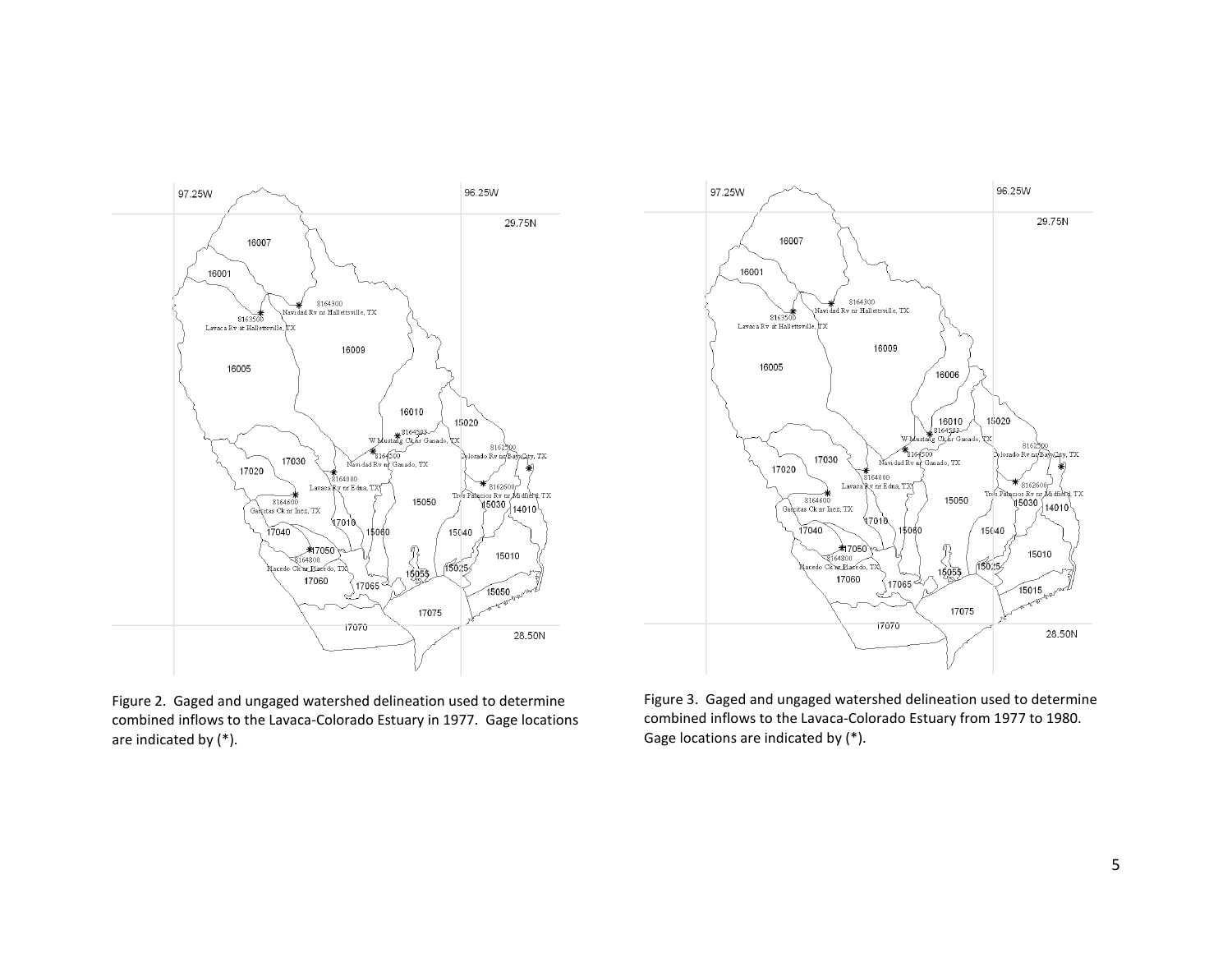

Figure 2. Gaged and ungaged watershed delineation used to determine combined inflows to the Lavaca-Colorado Estuary in 1977. Gage locations are indicated by (\*).



Figure 3. Gaged and ungaged watershed delineation used to determine combined inflows to the Lavaca-Colorado Estuary from 1977 to 1980. Gage locations are indicated by (\*).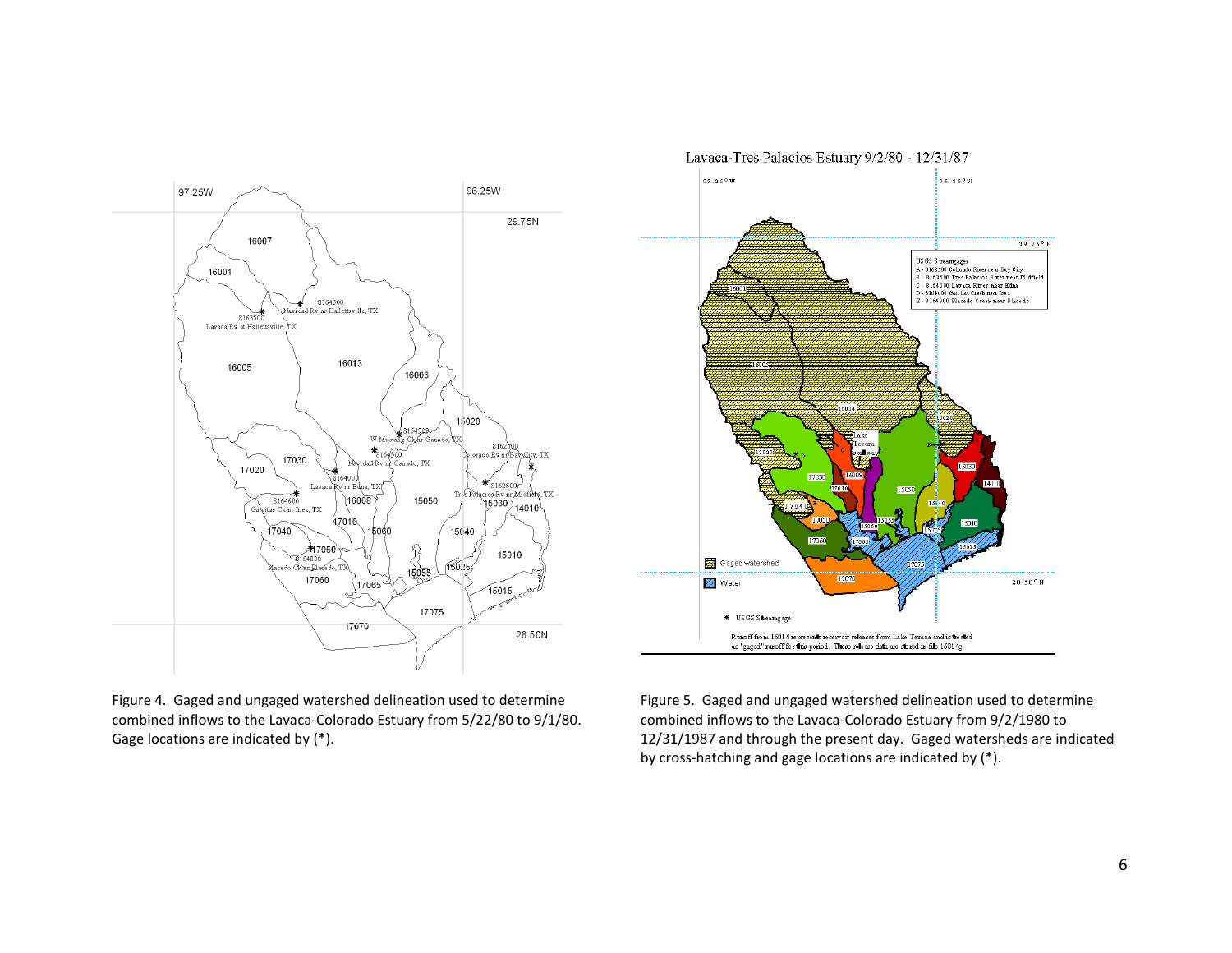

Figure 4. Gaged and ungaged watershed delineation used to determine combined inflows to the Lavaca-Colorado Estuary from 5/22/80 to 9/1/80. Gage locations are indicated by (\*).



Figure 5. Gaged and ungaged watershed delineation used to determine combined inflows to the Lavaca-Colorado Estuary from 9/2/1980 to 12/31/1987 and through the present day. Gaged watersheds are indicated by cross-hatching and gage locations are indicated by (\*).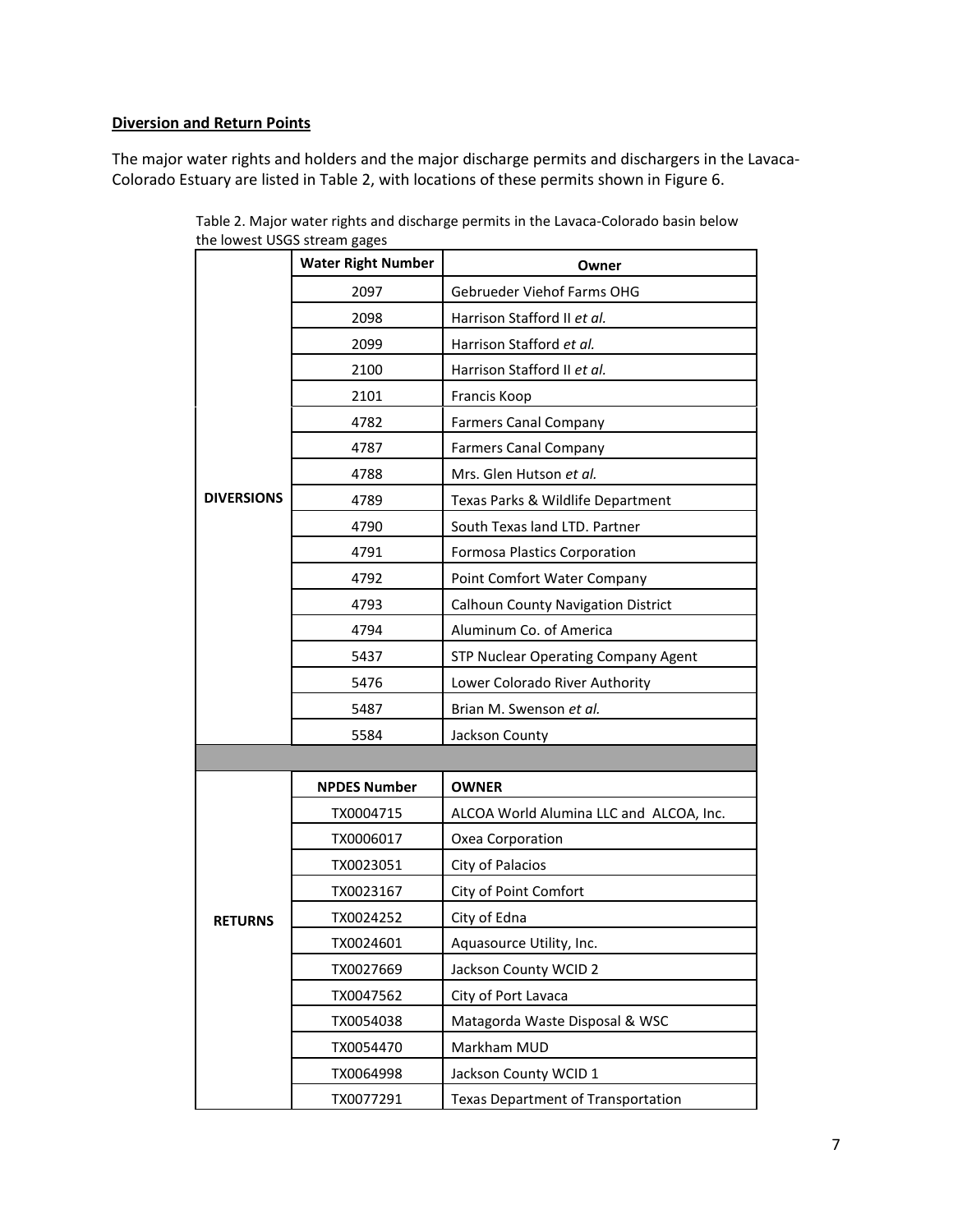# **Diversion and Return Points**

The major water rights and holders and the major discharge permits and dischargers in the Lavaca-Colorado Estuary are listed in Table 2, with locations of these permits shown in Figure 6.

|                   | <b>Water Right Number</b> | Owner                                     |
|-------------------|---------------------------|-------------------------------------------|
|                   | 2097                      | Gebrueder Viehof Farms OHG                |
|                   | 2098                      | Harrison Stafford II et al.               |
|                   | 2099                      | Harrison Stafford et al.                  |
|                   | 2100                      | Harrison Stafford II et al.               |
|                   | 2101                      | Francis Koop                              |
|                   | 4782                      | <b>Farmers Canal Company</b>              |
|                   | 4787                      | <b>Farmers Canal Company</b>              |
|                   | 4788                      | Mrs. Glen Hutson et al.                   |
| <b>DIVERSIONS</b> | 4789                      | Texas Parks & Wildlife Department         |
|                   | 4790                      | South Texas land LTD. Partner             |
|                   | 4791                      | <b>Formosa Plastics Corporation</b>       |
|                   | 4792                      | Point Comfort Water Company               |
|                   | 4793                      | <b>Calhoun County Navigation District</b> |
|                   | 4794                      | Aluminum Co. of America                   |
|                   | 5437                      | STP Nuclear Operating Company Agent       |
|                   | 5476                      | Lower Colorado River Authority            |
|                   | 5487                      | Brian M. Swenson et al.                   |
|                   | 5584                      | Jackson County                            |
|                   |                           |                                           |
|                   | <b>NPDES Number</b>       | <b>OWNER</b>                              |
|                   | TX0004715                 | ALCOA World Alumina LLC and ALCOA, Inc.   |
|                   | TX0006017                 | Oxea Corporation                          |
|                   | TX0023051                 | City of Palacios                          |
|                   | TX0023167                 | City of Point Comfort                     |
| <b>RETURNS</b>    | TX0024252                 | City of Edna                              |
|                   | TX0024601                 | Aquasource Utility, Inc.                  |
|                   | TX0027669                 | Jackson County WCID 2                     |
|                   | TX0047562                 | City of Port Lavaca                       |
|                   | TX0054038                 | Matagorda Waste Disposal & WSC            |
|                   | TX0054470                 | Markham MUD                               |
|                   | TX0064998                 | Jackson County WCID 1                     |
|                   | TX0077291                 | <b>Texas Department of Transportation</b> |

Table 2. Major water rights and discharge permits in the Lavaca-Colorado basin below the lowest USGS stream gages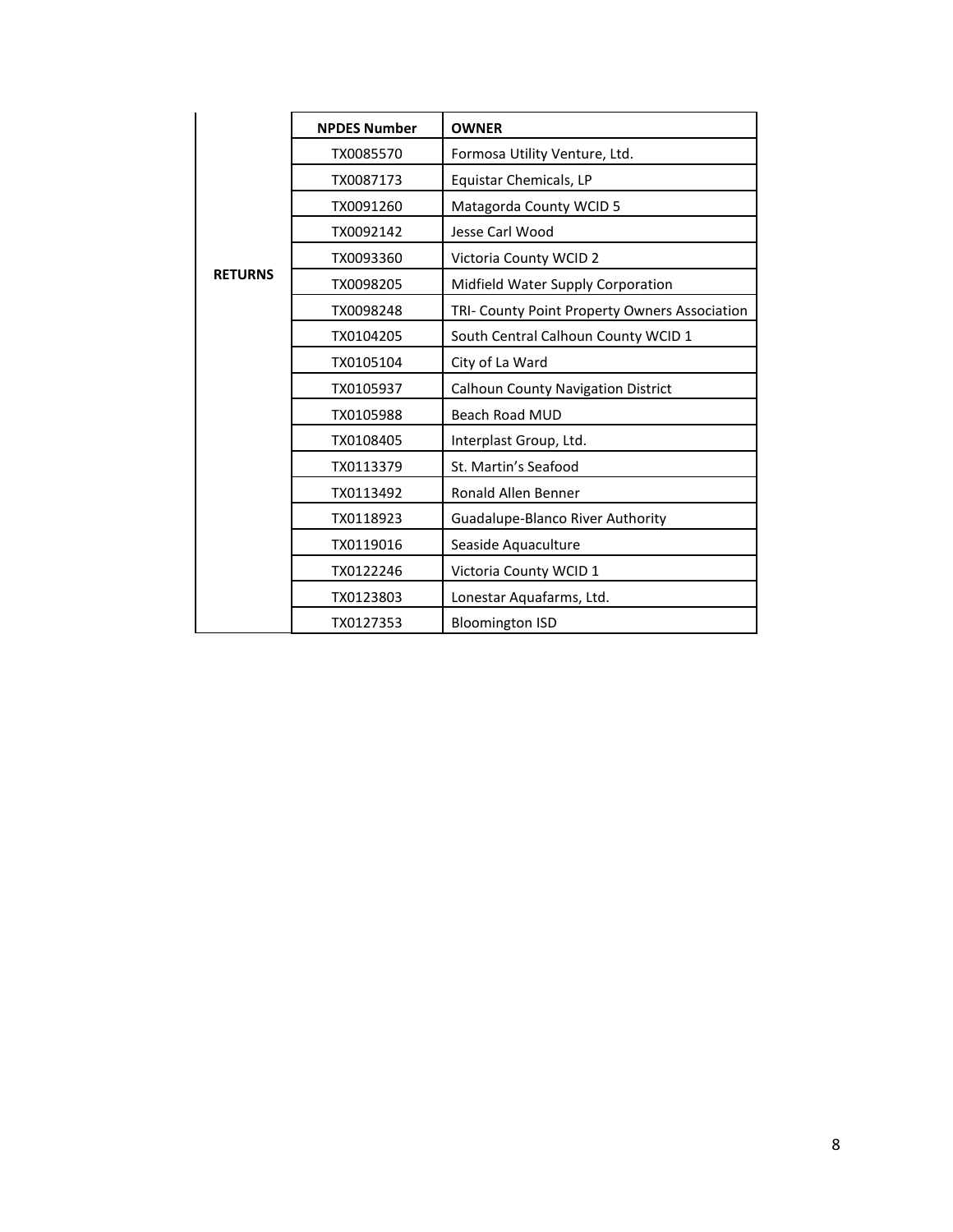|                | <b>NPDES Number</b> | <b>OWNER</b>                                  |
|----------------|---------------------|-----------------------------------------------|
|                | TX0085570           | Formosa Utility Venture, Ltd.                 |
|                | TX0087173           | Equistar Chemicals, LP                        |
|                | TX0091260           | Matagorda County WCID 5                       |
|                | TX0092142           | Jesse Carl Wood                               |
|                | TX0093360           | Victoria County WCID 2                        |
| <b>RETURNS</b> | TX0098205           | Midfield Water Supply Corporation             |
|                | TX0098248           | TRI- County Point Property Owners Association |
|                | TX0104205           | South Central Calhoun County WCID 1           |
|                | TX0105104           | City of La Ward                               |
|                | TX0105937           | <b>Calhoun County Navigation District</b>     |
|                | TX0105988           | <b>Beach Road MUD</b>                         |
|                | TX0108405           | Interplast Group, Ltd.                        |
|                | TX0113379           | St. Martin's Seafood                          |
|                | TX0113492           | <b>Ronald Allen Benner</b>                    |
|                | TX0118923           | Guadalupe-Blanco River Authority              |
|                | TX0119016           | Seaside Aquaculture                           |
|                | TX0122246           | Victoria County WCID 1                        |
|                | TX0123803           | Lonestar Aquafarms, Ltd.                      |
|                | TX0127353           | <b>Bloomington ISD</b>                        |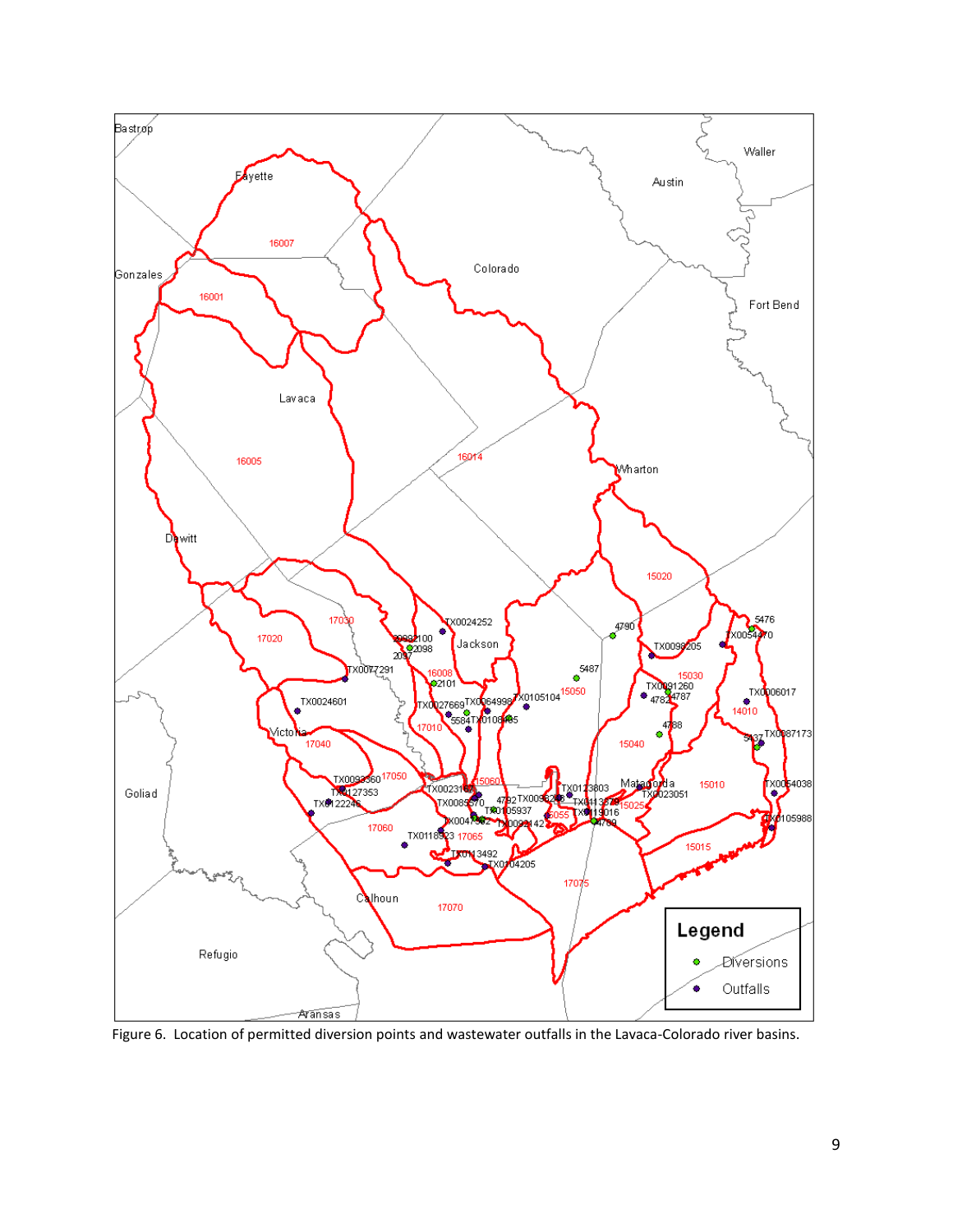

Figure 6. Location of permitted diversion points and wastewater outfalls in the Lavaca-Colorado river basins.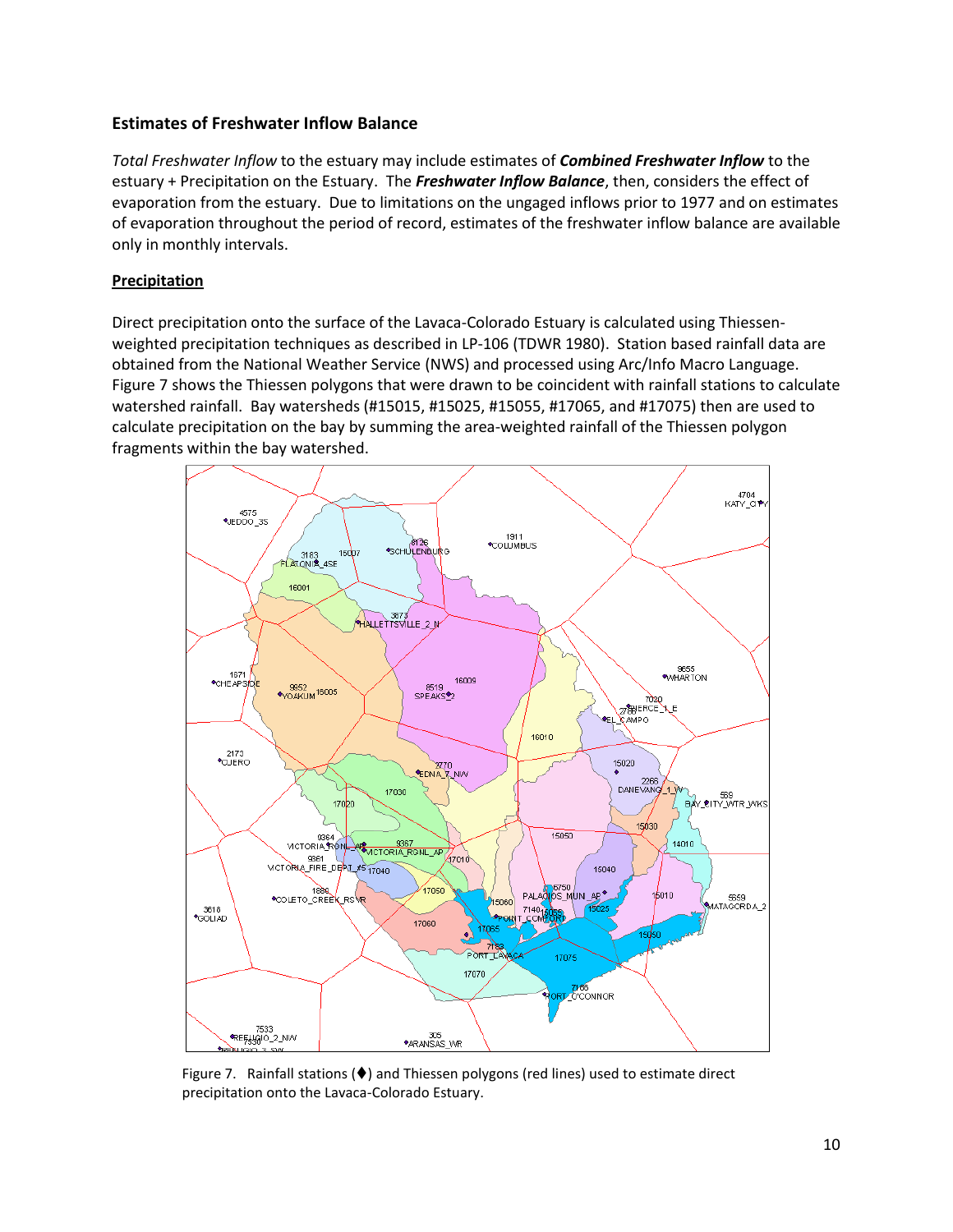# **Estimates of Freshwater Inflow Balance**

*Total Freshwater Inflow* to the estuary may include estimates of *Combined Freshwater Inflow* to the estuary + Precipitation on the Estuary. The *Freshwater Inflow Balance*, then, considers the effect of evaporation from the estuary. Due to limitations on the ungaged inflows prior to 1977 and on estimates of evaporation throughout the period of record, estimates of the freshwater inflow balance are available only in monthly intervals.

# **Precipitation**

Direct precipitation onto the surface of the Lavaca-Colorado Estuary is calculated using Thiessenweighted precipitation techniques as described in LP-106 (TDWR 1980). Station based rainfall data are obtained from the National Weather Service (NWS) and processed using Arc/Info Macro Language. Figure 7 shows the Thiessen polygons that were drawn to be coincident with rainfall stations to calculate watershed rainfall. Bay watersheds (#15015, #15025, #15055, #17065, and #17075) then are used to calculate precipitation on the bay by summing the area-weighted rainfall of the Thiessen polygon fragments within the bay watershed.



Figure 7. Rainfall stations  $(\blacklozenge)$  and Thiessen polygons (red lines) used to estimate direct precipitation onto the Lavaca-Colorado Estuary.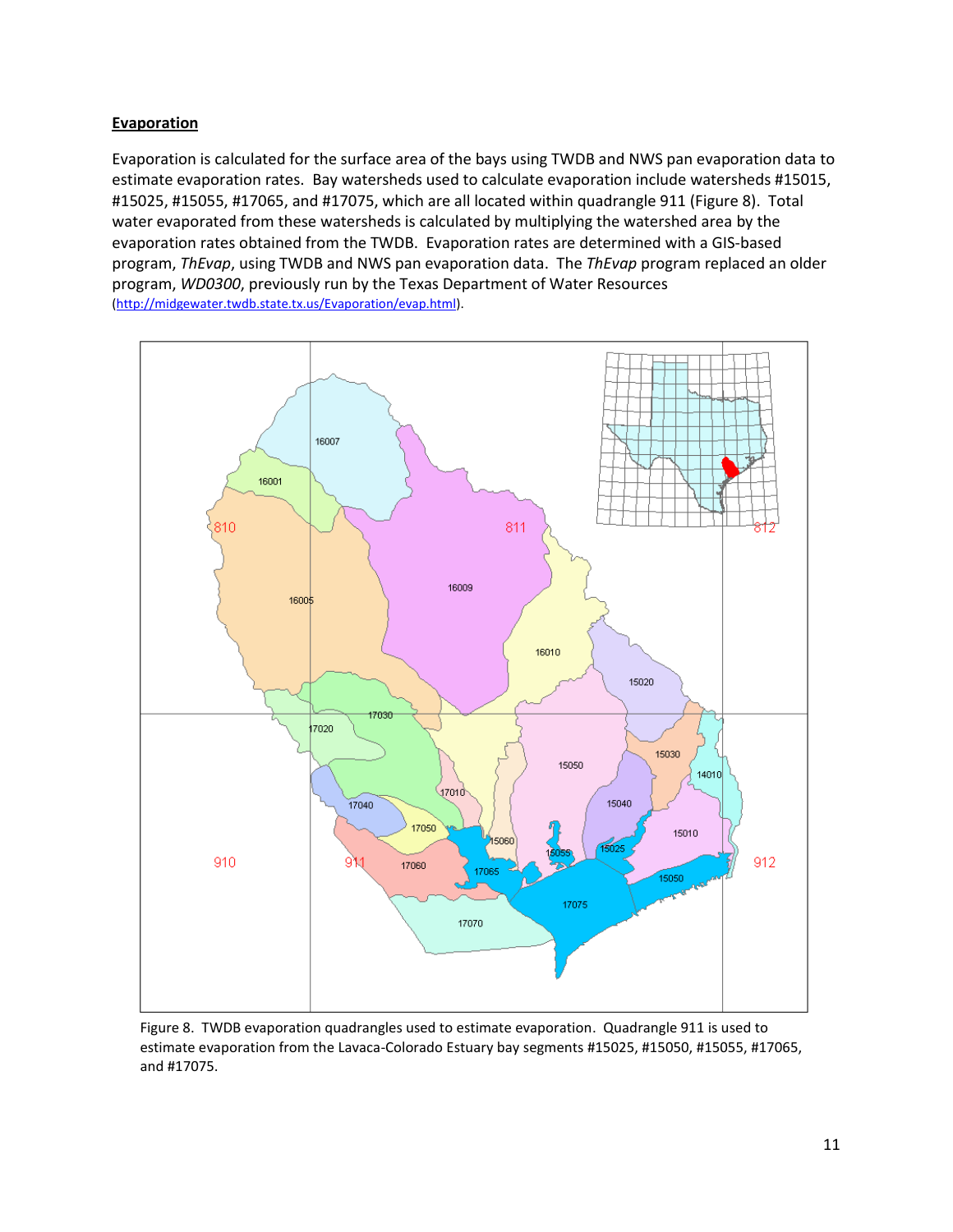### **Evaporation**

Evaporation is calculated for the surface area of the bays using TWDB and NWS pan evaporation data to estimate evaporation rates. Bay watersheds used to calculate evaporation include watersheds #15015, #15025, #15055, #17065, and #17075, which are all located within quadrangle 911 (Figure 8). Total water evaporated from these watersheds is calculated by multiplying the watershed area by the evaporation rates obtained from the TWDB. Evaporation rates are determined with a GIS-based program, *ThEvap*, using TWDB and NWS pan evaporation data. The *ThEvap* program replaced an older program, *WD0300*, previously run by the Texas Department of Water Resources [\(http://midgewater.twdb.state.tx.us/Evaporation/evap.html\)](http://midgewater.twdb.state.tx.us/Evaporation/evap.html).



Figure 8. TWDB evaporation quadrangles used to estimate evaporation. Quadrangle 911 is used to estimate evaporation from the Lavaca-Colorado Estuary bay segments #15025, #15050, #15055, #17065, and #17075.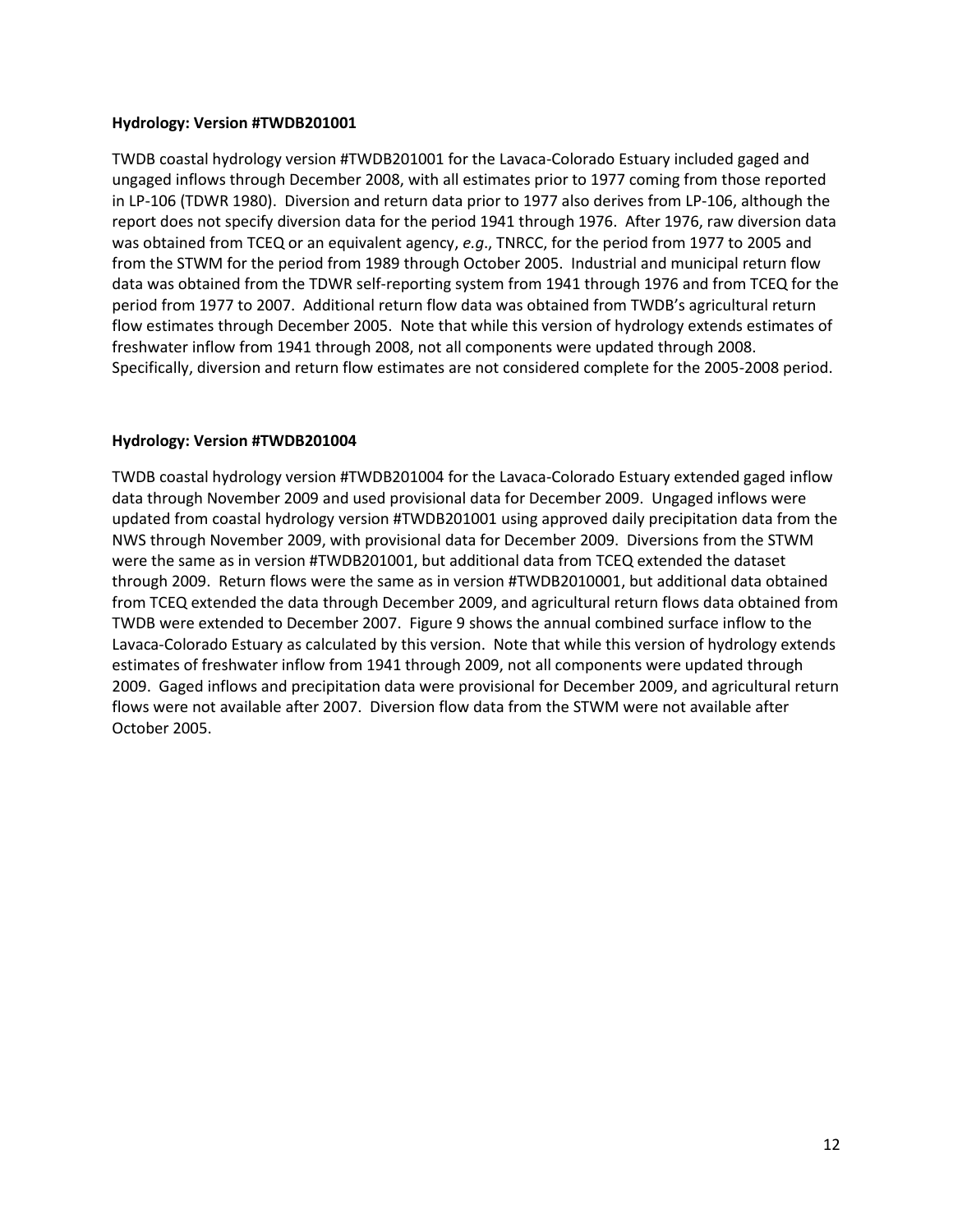### **Hydrology: Version #TWDB201001**

TWDB coastal hydrology version #TWDB201001 for the Lavaca-Colorado Estuary included gaged and ungaged inflows through December 2008, with all estimates prior to 1977 coming from those reported in LP-106 (TDWR 1980). Diversion and return data prior to 1977 also derives from LP-106, although the report does not specify diversion data for the period 1941 through 1976. After 1976, raw diversion data was obtained from TCEQ or an equivalent agency, *e.g*., TNRCC, for the period from 1977 to 2005 and from the STWM for the period from 1989 through October 2005. Industrial and municipal return flow data was obtained from the TDWR self-reporting system from 1941 through 1976 and from TCEQ for the period from 1977 to 2007. Additional return flow data was obtained from TWDB's agricultural return flow estimates through December 2005. Note that while this version of hydrology extends estimates of freshwater inflow from 1941 through 2008, not all components were updated through 2008. Specifically, diversion and return flow estimates are not considered complete for the 2005-2008 period.

# **Hydrology: Version #TWDB201004**

TWDB coastal hydrology version #TWDB201004 for the Lavaca-Colorado Estuary extended gaged inflow data through November 2009 and used provisional data for December 2009. Ungaged inflows were updated from coastal hydrology version #TWDB201001 using approved daily precipitation data from the NWS through November 2009, with provisional data for December 2009. Diversions from the STWM were the same as in version #TWDB201001, but additional data from TCEQ extended the dataset through 2009. Return flows were the same as in version #TWDB2010001, but additional data obtained from TCEQ extended the data through December 2009, and agricultural return flows data obtained from TWDB were extended to December 2007. Figure 9 shows the annual combined surface inflow to the Lavaca-Colorado Estuary as calculated by this version. Note that while this version of hydrology extends estimates of freshwater inflow from 1941 through 2009, not all components were updated through 2009. Gaged inflows and precipitation data were provisional for December 2009, and agricultural return flows were not available after 2007. Diversion flow data from the STWM were not available after October 2005.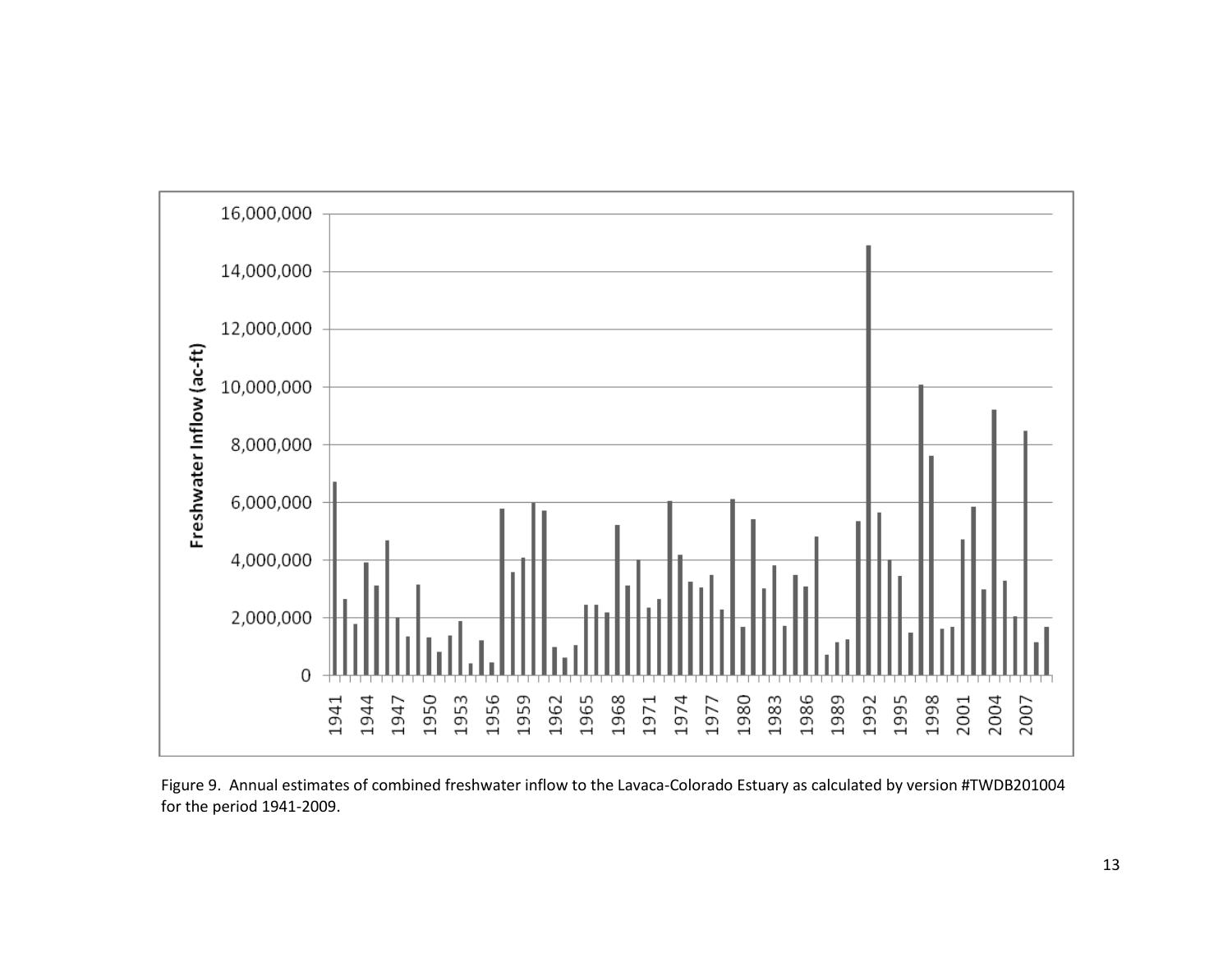

Figure 9. Annual estimates of combined freshwater inflow to the Lavaca-Colorado Estuary as calculated by version #TWDB201004 for the period 1941-2009.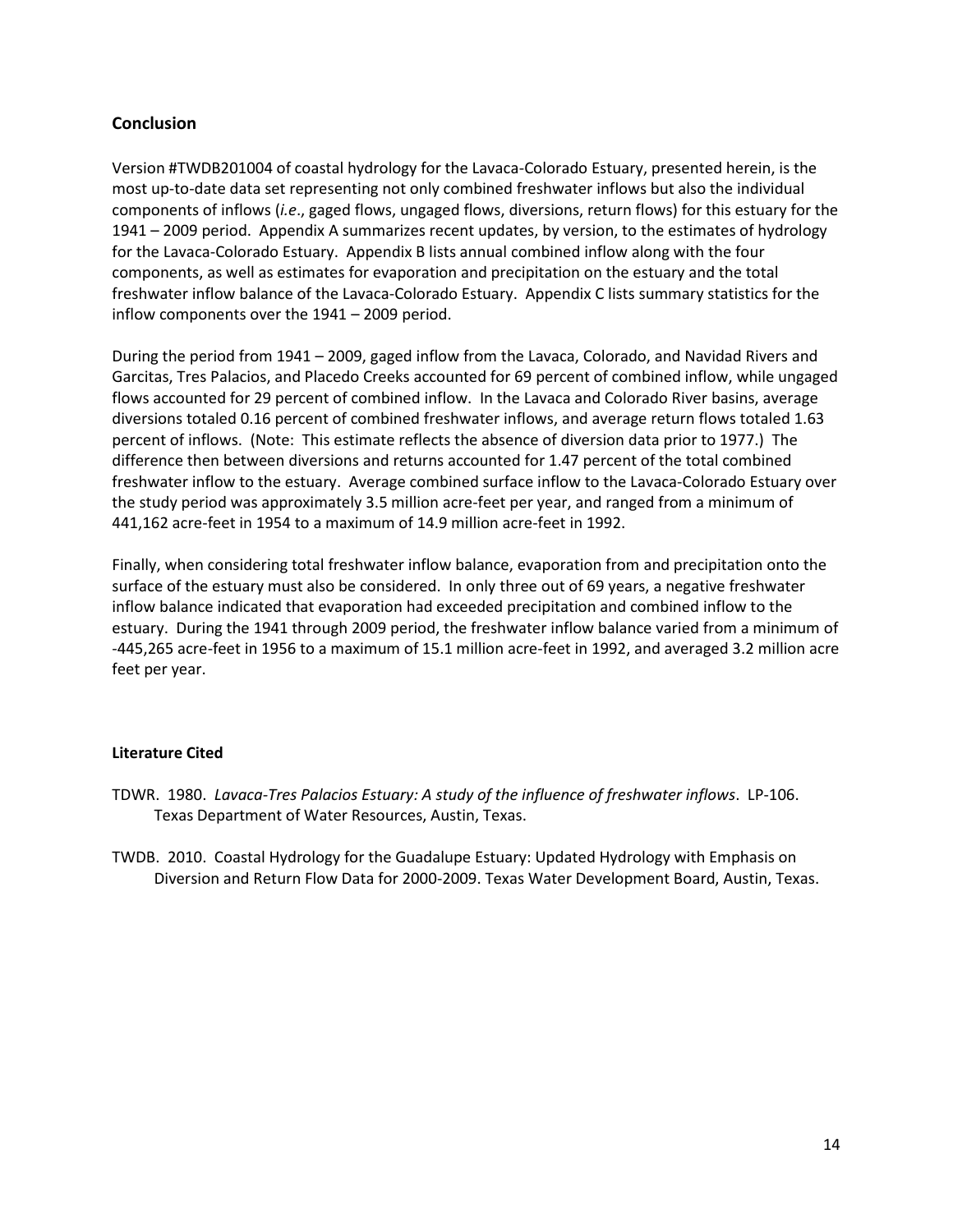# **Conclusion**

Version #TWDB201004 of coastal hydrology for the Lavaca-Colorado Estuary, presented herein, is the most up-to-date data set representing not only combined freshwater inflows but also the individual components of inflows (*i.e*., gaged flows, ungaged flows, diversions, return flows) for this estuary for the 1941 – 2009 period.Appendix A summarizes recent updates, by version, to the estimates of hydrology for the Lavaca-Colorado Estuary. Appendix B lists annual combined inflow along with the four components, as well as estimates for evaporation and precipitation on the estuary and the total freshwater inflow balance of the Lavaca-Colorado Estuary. Appendix C lists summary statistics for the inflow components over the 1941 – 2009 period.

During the period from 1941 – 2009, gaged inflow from the Lavaca, Colorado, and Navidad Rivers and Garcitas, Tres Palacios, and Placedo Creeks accounted for 69 percent of combined inflow, while ungaged flows accounted for 29 percent of combined inflow. In the Lavaca and Colorado River basins, average diversions totaled 0.16 percent of combined freshwater inflows, and average return flows totaled 1.63 percent of inflows. (Note: This estimate reflects the absence of diversion data prior to 1977.) The difference then between diversions and returns accounted for 1.47 percent of the total combined freshwater inflow to the estuary. Average combined surface inflow to the Lavaca-Colorado Estuary over the study period was approximately 3.5 million acre-feet per year, and ranged from a minimum of 441,162 acre-feet in 1954 to a maximum of 14.9 million acre-feet in 1992.

Finally, when considering total freshwater inflow balance, evaporation from and precipitation onto the surface of the estuary must also be considered. In only three out of 69 years, a negative freshwater inflow balance indicated that evaporation had exceeded precipitation and combined inflow to the estuary. During the 1941 through 2009 period, the freshwater inflow balance varied from a minimum of -445,265 acre-feet in 1956 to a maximum of 15.1 million acre-feet in 1992, and averaged 3.2 million acre feet per year.

# **Literature Cited**

- TDWR. 1980. *Lavaca-Tres Palacios Estuary: A study of the influence of freshwater inflows*. LP-106. Texas Department of Water Resources, Austin, Texas.
- TWDB. 2010. Coastal Hydrology for the Guadalupe Estuary: Updated Hydrology with Emphasis on Diversion and Return Flow Data for 2000-2009. Texas Water Development Board, Austin, Texas.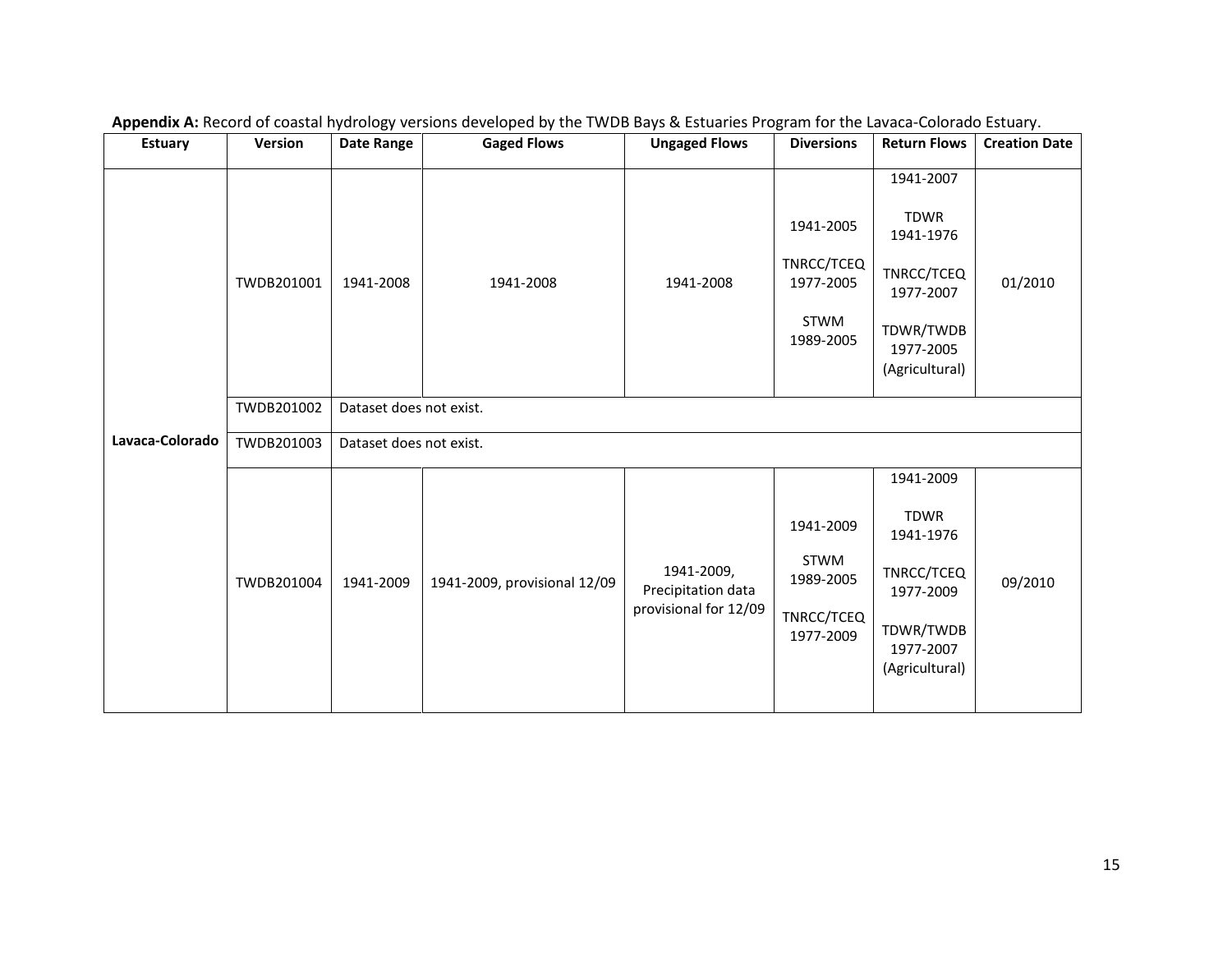| <b>Estuary</b>  | Version    | <b>Date Range</b>       | <b>Gaged Flows</b>           | <b>Ungaged Flows</b>                                      | <b>Diversions</b>                                                | <b>Return Flows</b>                                                                                          | <b>Creation Date</b> |  |  |  |  |
|-----------------|------------|-------------------------|------------------------------|-----------------------------------------------------------|------------------------------------------------------------------|--------------------------------------------------------------------------------------------------------------|----------------------|--|--|--|--|
|                 | TWDB201001 | 1941-2008               | 1941-2008                    | 1941-2008                                                 | 1941-2005<br>TNRCC/TCEQ<br>1977-2005<br><b>STWM</b><br>1989-2005 | 1941-2007<br><b>TDWR</b><br>1941-1976<br>TNRCC/TCEQ<br>1977-2007<br>TDWR/TWDB<br>1977-2005<br>(Agricultural) | 01/2010              |  |  |  |  |
|                 | TWDB201002 |                         | Dataset does not exist.      |                                                           |                                                                  |                                                                                                              |                      |  |  |  |  |
| Lavaca-Colorado | TWDB201003 | Dataset does not exist. |                              |                                                           |                                                                  |                                                                                                              |                      |  |  |  |  |
|                 | TWDB201004 | 1941-2009               | 1941-2009, provisional 12/09 | 1941-2009,<br>Precipitation data<br>provisional for 12/09 | 1941-2009<br>STWM<br>1989-2005<br>TNRCC/TCEQ<br>1977-2009        | 1941-2009<br>TDWR<br>1941-1976<br>TNRCC/TCEQ<br>1977-2009<br>TDWR/TWDB<br>1977-2007<br>(Agricultural)        | 09/2010              |  |  |  |  |

**Appendix A:** Record of coastal hydrology versions developed by the TWDB Bays & Estuaries Program for the Lavaca-Colorado Estuary.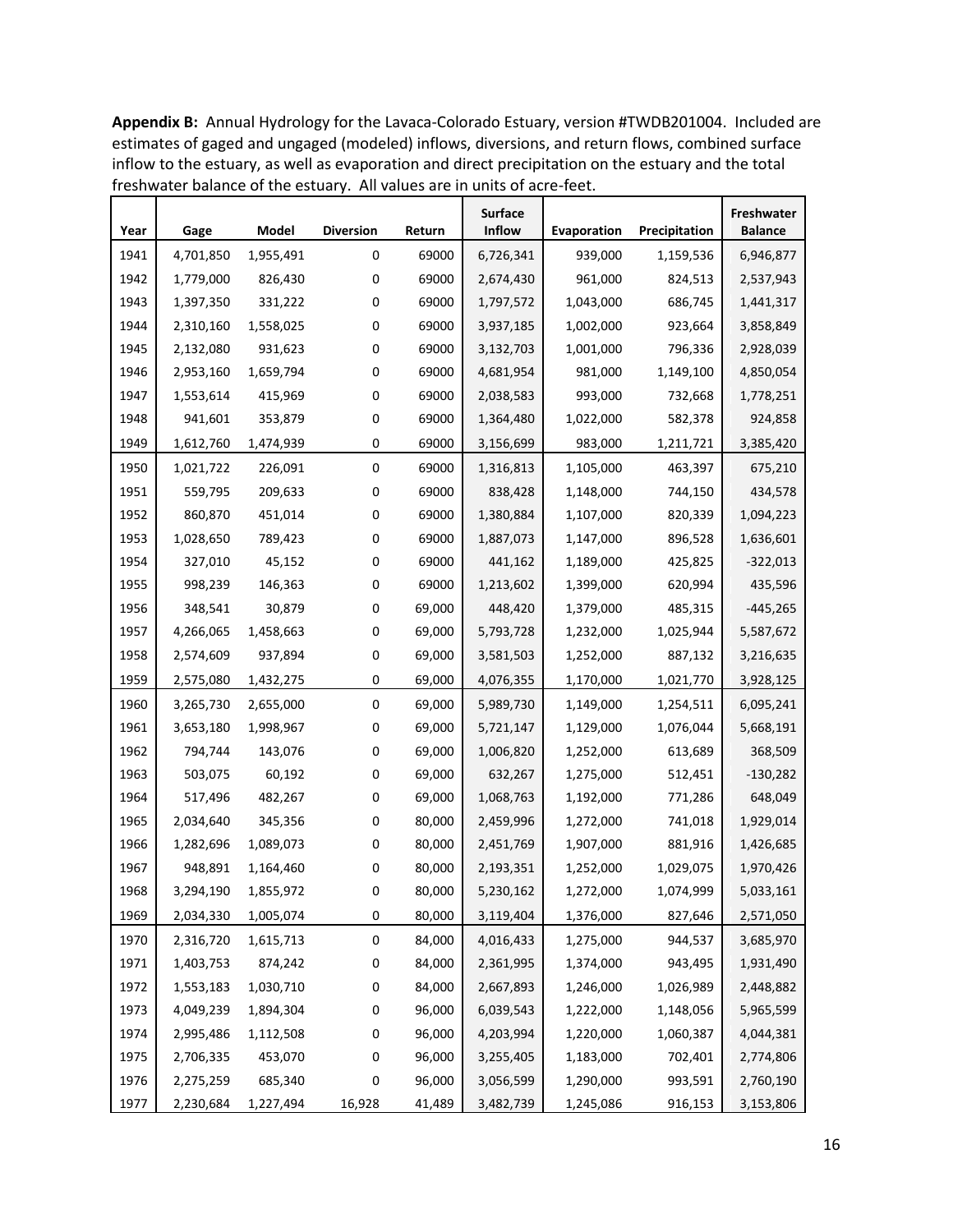| Year | Gage      | Model     | <b>Diversion</b> | Return | <b>Surface</b><br><b>Inflow</b> | Evaporation          | Precipitation | Freshwater<br><b>Balance</b> |
|------|-----------|-----------|------------------|--------|---------------------------------|----------------------|---------------|------------------------------|
| 1941 | 4,701,850 | 1,955,491 | $\mathbf 0$      | 69000  | 6,726,341                       | 939,000              | 1,159,536     | 6,946,877                    |
| 1942 | 1,779,000 | 826,430   | 0                | 69000  | 2,674,430                       | 961,000              | 824,513       | 2,537,943                    |
| 1943 | 1,397,350 | 331,222   | 0                | 69000  | 1,797,572                       | 1,043,000            | 686,745       | 1,441,317                    |
| 1944 | 2,310,160 | 1,558,025 | 0                | 69000  | 3,937,185                       | 1,002,000            | 923,664       | 3,858,849                    |
| 1945 | 2,132,080 | 931,623   | 0                | 69000  | 3,132,703                       | 1,001,000            | 796,336       | 2,928,039                    |
| 1946 | 2,953,160 | 1,659,794 | 0                | 69000  | 4,681,954                       | 981,000              | 1,149,100     | 4,850,054                    |
| 1947 | 1,553,614 | 415,969   | 0                | 69000  | 2,038,583                       | 993,000              | 732,668       | 1,778,251                    |
| 1948 | 941,601   | 353,879   | 0                | 69000  | 1,364,480                       | 1,022,000            | 582,378       | 924,858                      |
| 1949 | 1,612,760 | 1,474,939 | 0                | 69000  | 3,156,699                       | 983,000              | 1,211,721     | 3,385,420                    |
| 1950 | 1,021,722 | 226,091   | $\boldsymbol{0}$ | 69000  | 1,316,813                       | 1,105,000            | 463,397       | 675,210                      |
| 1951 | 559,795   | 209,633   | 0                | 69000  | 838,428                         | 1,148,000            | 744,150       | 434,578                      |
| 1952 | 860,870   | 451,014   | 0                | 69000  | 1,380,884                       | 1,107,000            | 820,339       | 1,094,223                    |
| 1953 | 1,028,650 | 789,423   | 0                | 69000  | 1,887,073                       | 1,147,000            | 896,528       | 1,636,601                    |
| 1954 | 327,010   | 45,152    | 0                | 69000  | 441,162                         | 1,189,000            | 425,825       | $-322,013$                   |
| 1955 | 998,239   | 146,363   | 0                | 69000  | 1,213,602                       | 1,399,000            | 620,994       | 435,596                      |
| 1956 | 348,541   | 30,879    | 0                | 69,000 | 448,420                         | 1,379,000            | 485,315       | $-445,265$                   |
| 1957 | 4,266,065 | 1,458,663 | 0                | 69,000 | 5,793,728                       | 1,232,000            | 1,025,944     | 5,587,672                    |
| 1958 | 2,574,609 | 937,894   | 0                | 69,000 | 3,581,503                       | 1,252,000            | 887,132       | 3,216,635                    |
| 1959 | 2,575,080 | 1,432,275 | 0                | 69,000 | 4,076,355                       | 1,170,000            | 1,021,770     | 3,928,125                    |
| 1960 | 3,265,730 | 2,655,000 | $\mathbf 0$      | 69,000 | 5,989,730                       | 1,149,000            | 1,254,511     | 6,095,241                    |
| 1961 | 3,653,180 | 1,998,967 | 0                | 69,000 | 5,721,147                       | 1,129,000            | 1,076,044     | 5,668,191                    |
| 1962 | 794,744   | 143,076   | 0                | 69,000 | 1,006,820                       | 1,252,000<br>613,689 |               | 368,509                      |
| 1963 | 503,075   | 60,192    | 0                | 69,000 | 632,267                         | 1,275,000            | 512,451       | $-130,282$                   |
| 1964 | 517,496   | 482,267   | 0                | 69,000 | 1,068,763                       | 1,192,000            | 771,286       | 648,049                      |
| 1965 | 2,034,640 | 345,356   | 0                | 80,000 | 2,459,996                       | 1,272,000            | 741,018       | 1,929,014                    |
| 1966 | 1,282,696 | 1,089,073 | 0                | 80,000 | 2,451,769                       | 1,907,000            | 881,916       | 1,426,685                    |
| 1967 | 948,891   | 1,164,460 | 0                | 80,000 | 2,193,351                       | 1,252,000            | 1,029,075     | 1,970,426                    |
| 1968 | 3,294,190 | 1,855,972 | 0                | 80,000 | 5,230,162                       | 1,272,000            | 1,074,999     | 5,033,161                    |
| 1969 | 2,034,330 | 1,005,074 | 0                | 80,000 | 3,119,404                       | 1,376,000            | 827,646       | 2,571,050                    |
| 1970 | 2,316,720 | 1,615,713 | $\boldsymbol{0}$ | 84,000 | 4,016,433                       | 1,275,000            | 944,537       | 3,685,970                    |
| 1971 | 1,403,753 | 874,242   | 0                | 84,000 | 2,361,995                       | 1,374,000            | 943,495       | 1,931,490                    |
| 1972 | 1,553,183 | 1,030,710 | 0                | 84,000 | 2,667,893                       | 1,246,000            | 1,026,989     | 2,448,882                    |
| 1973 | 4,049,239 | 1,894,304 | 0                | 96,000 | 6,039,543                       | 1,222,000            | 1,148,056     | 5,965,599                    |
| 1974 | 2,995,486 | 1,112,508 | 0                | 96,000 | 4,203,994                       | 1,220,000            | 1,060,387     | 4,044,381                    |
| 1975 | 2,706,335 | 453,070   | 0                | 96,000 | 3,255,405                       | 1,183,000            | 702,401       | 2,774,806                    |
| 1976 | 2,275,259 | 685,340   | 0                | 96,000 | 3,056,599                       | 1,290,000            | 993,591       | 2,760,190                    |
| 1977 | 2,230,684 | 1,227,494 | 16,928           | 41,489 | 3,482,739                       | 1,245,086            | 916,153       | 3,153,806                    |

**Appendix B:** Annual Hydrology for the Lavaca-Colorado Estuary, version #TWDB201004. Included are estimates of gaged and ungaged (modeled) inflows, diversions, and return flows, combined surface inflow to the estuary, as well as evaporation and direct precipitation on the estuary and the total freshwater balance of the estuary. All values are in units of acre-feet.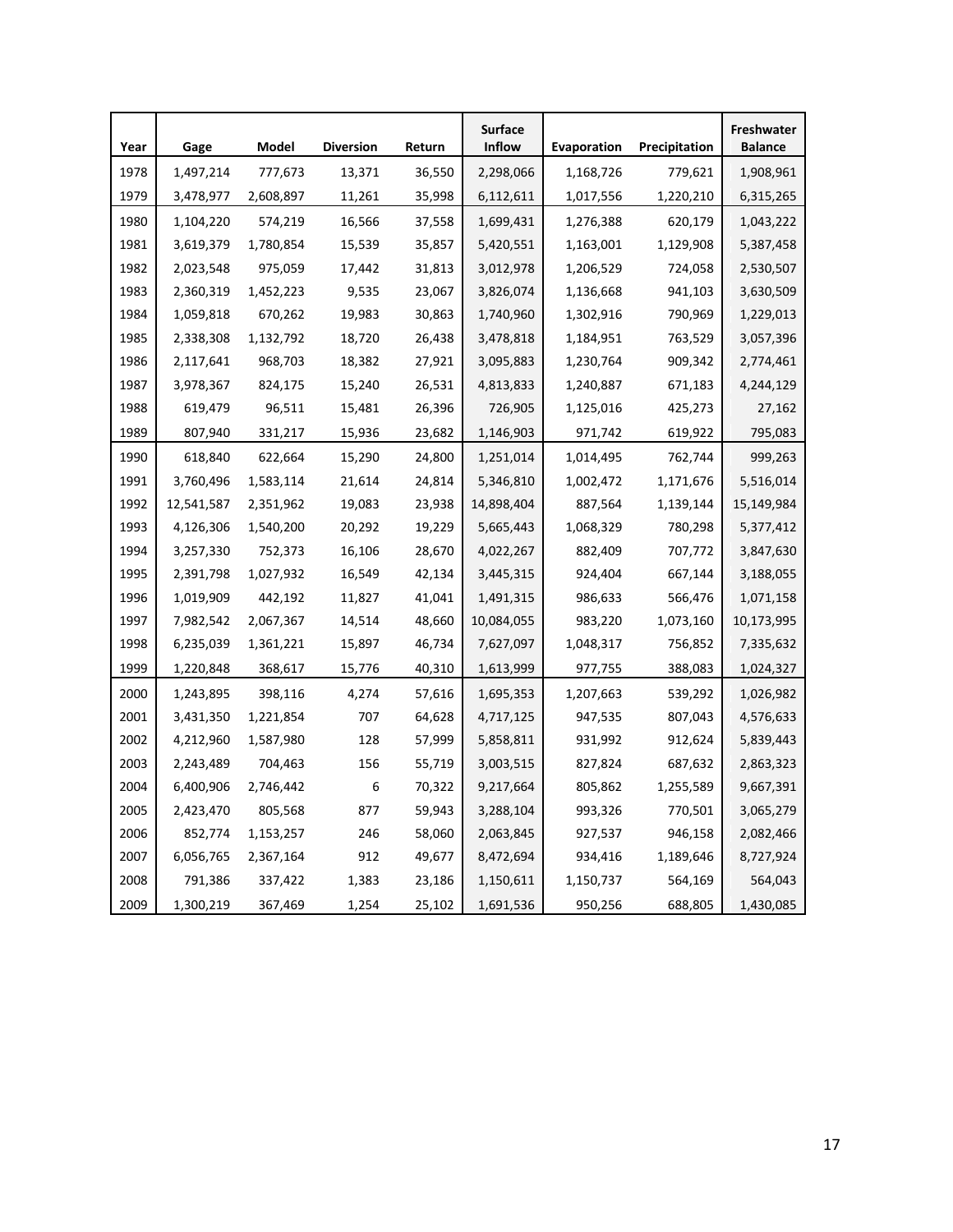| Year | Gage       | Model     | <b>Diversion</b> | Return | <b>Surface</b><br><b>Inflow</b> | Evaporation            | Precipitation | Freshwater<br><b>Balance</b> |
|------|------------|-----------|------------------|--------|---------------------------------|------------------------|---------------|------------------------------|
| 1978 | 1,497,214  | 777,673   | 13,371           | 36,550 | 2,298,066                       | 1,168,726              | 779,621       | 1,908,961                    |
| 1979 | 3,478,977  | 2,608,897 | 11,261           | 35,998 | 6,112,611                       | 1,017,556<br>1,220,210 |               | 6,315,265                    |
| 1980 | 1,104,220  | 574,219   | 16,566           | 37,558 | 1,699,431                       | 1,276,388              | 620,179       | 1,043,222                    |
| 1981 | 3,619,379  | 1,780,854 | 15,539           | 35,857 | 5,420,551                       | 1,129,908<br>1,163,001 |               | 5,387,458                    |
| 1982 | 2,023,548  | 975,059   | 17,442           | 31,813 | 3,012,978                       | 1,206,529              | 724,058       | 2,530,507                    |
| 1983 | 2,360,319  | 1,452,223 | 9,535            | 23,067 | 3,826,074                       | 1,136,668              | 941,103       | 3,630,509                    |
| 1984 | 1,059,818  | 670,262   | 19,983           | 30,863 | 1,740,960                       | 1,302,916              | 790,969       | 1,229,013                    |
| 1985 | 2,338,308  | 1,132,792 | 18,720           | 26,438 | 3,478,818                       | 1,184,951              | 763,529       | 3,057,396                    |
| 1986 | 2,117,641  | 968,703   | 18,382           | 27,921 | 3,095,883                       | 1,230,764              | 909,342       | 2,774,461                    |
| 1987 | 3,978,367  | 824,175   | 15,240           | 26,531 | 4,813,833                       | 1,240,887              | 671,183       | 4,244,129                    |
| 1988 | 619,479    | 96,511    | 15,481           | 26,396 | 726,905                         | 1,125,016              | 425,273       | 27,162                       |
| 1989 | 807,940    | 331,217   | 15,936           | 23,682 | 1,146,903                       | 971,742                | 619,922       | 795,083                      |
| 1990 | 618,840    | 622,664   | 15,290           | 24,800 | 1,251,014                       | 1,014,495              | 762,744       | 999,263                      |
| 1991 | 3,760,496  | 1,583,114 | 21,614           | 24,814 | 5,346,810                       | 1,002,472              | 1,171,676     |                              |
| 1992 | 12,541,587 | 2,351,962 | 19,083           | 23,938 | 14,898,404                      | 1,139,144<br>887,564   |               | 15,149,984                   |
| 1993 | 4,126,306  | 1,540,200 | 20,292           | 19,229 | 5,665,443                       | 780,298<br>1,068,329   |               | 5,377,412                    |
| 1994 | 3,257,330  | 752,373   | 16,106           | 28,670 | 4,022,267                       | 882,409<br>707,772     |               | 3,847,630                    |
| 1995 | 2,391,798  | 1,027,932 | 16,549           | 42,134 | 3,445,315                       | 924,404                | 667,144       | 3,188,055                    |
| 1996 | 1,019,909  | 442,192   | 11,827           | 41,041 | 1,491,315                       | 986,633                | 566,476       | 1,071,158                    |
| 1997 | 7,982,542  | 2,067,367 | 14,514           | 48,660 | 10,084,055                      | 983,220                | 1,073,160     | 10,173,995                   |
| 1998 | 6,235,039  | 1,361,221 | 15,897           | 46,734 | 7,627,097                       | 1,048,317              | 756,852       | 7,335,632                    |
| 1999 | 1,220,848  | 368,617   | 15,776           | 40,310 | 1,613,999                       | 977,755                | 388,083       | 1,024,327                    |
| 2000 | 1,243,895  | 398,116   | 4,274            | 57,616 | 1,695,353                       | 1,207,663              | 539,292       | 1,026,982                    |
| 2001 | 3,431,350  | 1,221,854 | 707              | 64,628 | 4,717,125                       | 947,535                | 807,043       | 4,576,633                    |
| 2002 | 4,212,960  | 1,587,980 | 128              | 57,999 | 5,858,811                       | 931,992                | 912,624       | 5,839,443                    |
| 2003 | 2,243,489  | 704,463   | 156              | 55,719 | 3,003,515                       | 827,824                | 687,632       | 2,863,323                    |
| 2004 | 6,400,906  | 2,746,442 | 6                | 70,322 | 9,217,664                       | 805,862                | 1,255,589     | 9,667,391                    |
| 2005 | 2,423,470  | 805,568   | 877              | 59,943 | 3,288,104                       | 993,326                | 770,501       | 3,065,279                    |
| 2006 | 852,774    | 1,153,257 | 246              | 58,060 | 2,063,845                       | 927,537                | 946,158       | 2,082,466                    |
| 2007 | 6,056,765  | 2,367,164 | 912              | 49,677 | 8,472,694                       | 934,416                | 1,189,646     | 8,727,924                    |
| 2008 | 791,386    | 337,422   | 1,383            | 23,186 | 1,150,611                       | 1,150,737              | 564,169       | 564,043                      |
| 2009 | 1,300,219  | 367,469   | 1,254            | 25,102 | 1,691,536                       | 950,256                | 688,805       | 1,430,085                    |